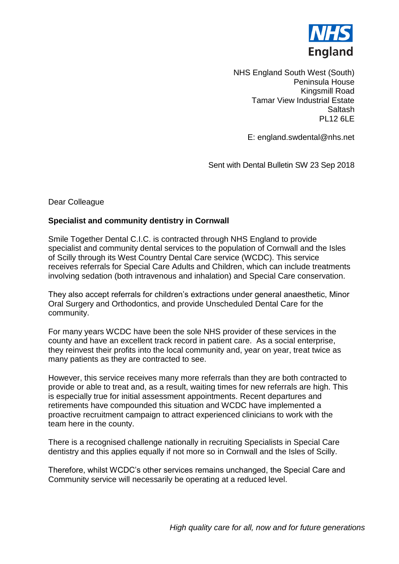

NHS England South West (South) Peninsula House Kingsmill Road Tamar View Industrial Estate Saltash PL12 6LE

E: england.swdental@nhs.net

Sent with Dental Bulletin SW 23 Sep 2018

## Dear Colleague

## **Specialist and community dentistry in Cornwall**

Smile Together Dental C.I.C. is contracted through NHS England to provide specialist and community dental services to the population of Cornwall and the Isles of Scilly through its West Country Dental Care service (WCDC). This service receives referrals for Special Care Adults and Children, which can include treatments involving sedation (both intravenous and inhalation) and Special Care conservation.

They also accept referrals for children's extractions under general anaesthetic, Minor Oral Surgery and Orthodontics, and provide Unscheduled Dental Care for the community.

For many years WCDC have been the sole NHS provider of these services in the county and have an excellent track record in patient care. As a social enterprise, they reinvest their profits into the local community and, year on year, treat twice as many patients as they are contracted to see.

However, this service receives many more referrals than they are both contracted to provide or able to treat and, as a result, waiting times for new referrals are high. This is especially true for initial assessment appointments. Recent departures and retirements have compounded this situation and WCDC have implemented a proactive recruitment campaign to attract experienced clinicians to work with the team here in the county.

There is a recognised challenge nationally in recruiting Specialists in Special Care dentistry and this applies equally if not more so in Cornwall and the Isles of Scilly.

Therefore, whilst WCDC's other services remains unchanged, the Special Care and Community service will necessarily be operating at a reduced level.